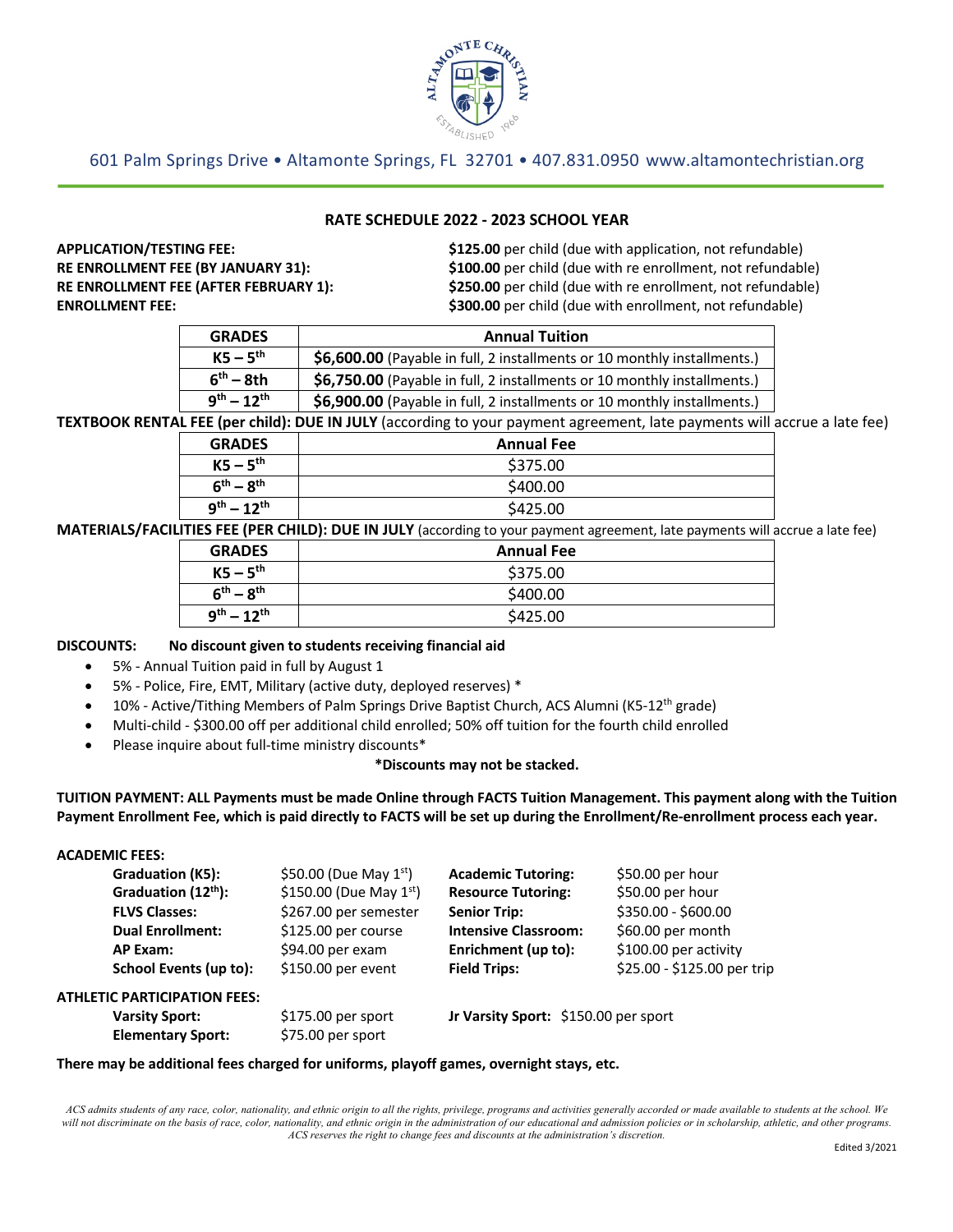

# 601 Palm Springs Drive • Altamonte Springs, FL 32701 • 407.831.0950 www.altamontechristian.org

## **RATE SCHEDULE 2022 - 2023 SCHOOL YEAR**

**APPLICATION/TESTING FEE: \$125.00** per child (due with application, not refundable) **RE ENROLLMENT FEE (BY JANUARY 31): \$100.00** per child (due with re enrollment, not refundable) **RE ENROLLMENT FEE (AFTER FEBRUARY 1): \$250.00** per child (due with re enrollment, not refundable) **ENROLLMENT FEE: \$300.00** per child (due with enrollment, not refundable)

| <b>GRADES</b>                | <b>Annual Tuition</b>                                                    |
|------------------------------|--------------------------------------------------------------------------|
| $KS - 5th$                   | \$6,600.00 (Payable in full, 2 installments or 10 monthly installments.) |
| $6^{\text{th}} - 8\text{th}$ | \$6,750.00 (Payable in full, 2 installments or 10 monthly installments.) |
| $9^{th} - 12^{th}$           | \$6,900.00 (Payable in full, 2 installments or 10 monthly installments.) |

**TEXTBOOK RENTAL FEE (per child): DUE IN JULY** (according to your payment agreement, late payments will accrue a late fee)

| <b>GRADES</b>      | <b>Annual Fee</b> |
|--------------------|-------------------|
| $KS - 5th$         | \$375.00          |
| $6^{th} - 8^{th}$  | \$400.00          |
| $9^{th} - 12^{th}$ | \$425.00          |

**MATERIALS/FACILITIES FEE (PER CHILD): DUE IN JULY** (according to your payment agreement, late payments will accrue a late fee)

| <b>GRADES</b>      | <b>Annual Fee</b> |
|--------------------|-------------------|
| $KS - 5th$         | \$375.00          |
| $6^{th} - 8^{th}$  | \$400.00          |
| $q^{th} - 12^{th}$ | \$425.00          |

### **DISCOUNTS: No discount given to students receiving financial aid**

- 5% Annual Tuition paid in full by August 1
- 5% Police, Fire, EMT, Military (active duty, deployed reserves) \*
- 10% Active/Tithing Members of Palm Springs Drive Baptist Church, ACS Alumni (K5-12th grade)
- Multi-child \$300.00 off per additional child enrolled; 50% off tuition for the fourth child enrolled
- Please inquire about full-time ministry discounts\*

#### **\*Discounts may not be stacked.**

## **TUITION PAYMENT: ALL Payments must be made Online through FACTS Tuition Management. This payment along with the Tuition Payment Enrollment Fee, which is paid directly to FACTS will be set up during the Enrollment/Re-enrollment process each year.**

### **ACADEMIC FEES:**

| Graduation (K5):                    | \$50.00 (Due May $1^{st}$ )  | <b>Academic Tutoring:</b>            | \$50.00 per hour            |
|-------------------------------------|------------------------------|--------------------------------------|-----------------------------|
| Graduation (12 <sup>th</sup> ):     | \$150.00 (Due May $1^{st}$ ) | <b>Resource Tutoring:</b>            | \$50.00 per hour            |
| <b>FLVS Classes:</b>                | \$267.00 per semester        | <b>Senior Trip:</b>                  | \$350.00 - \$600.00         |
| <b>Dual Enrollment:</b>             | \$125.00 per course          | <b>Intensive Classroom:</b>          | \$60.00 per month           |
| AP Exam:                            | \$94.00 per exam             | Enrichment (up to):                  | \$100.00 per activity       |
| School Events (up to):              | \$150.00 per event           | <b>Field Trips:</b>                  | \$25.00 - \$125.00 per trip |
| <b>ATHLETIC PARTICIPATION FEES:</b> |                              |                                      |                             |
| <b>Varsity Sport:</b>               | $$175.00$ per sport          | Jr Varsity Sport: \$150.00 per sport |                             |
| <b>Elementary Sport:</b>            | \$75.00 per sport            |                                      |                             |

#### **There may be additional fees charged for uniforms, playoff games, overnight stays, etc.**

*ACS admits students of any race, color, nationality, and ethnic origin to all the rights, privilege, programs and activities generally accorded or made available to students at the school. We will not discriminate on the basis of race, color, nationality, and ethnic origin in the administration of our educational and admission policies or in scholarship, athletic, and other programs. ACS reserves the right to change fees and discounts at the administration's discretion.*